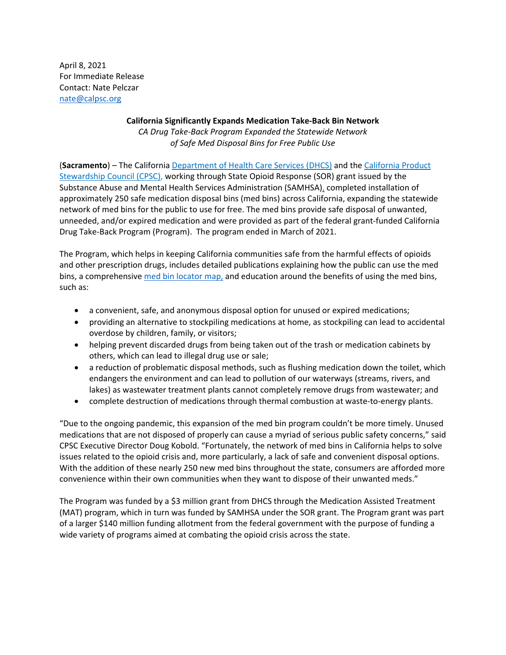April 8, 2021 For Immediate Release Contact: Nate Pelczar [nate@calpsc.org](mailto:nate@calpsc.org)

## **California Significantly Expands Medication Take-Back Bin Network** *CA Drug Take-Back Program Expanded the Statewide Network of Safe Med Disposal Bins for Free Public Use*

(**Sacramento**) – The California [Department of Health Care Services \(DHCS\)](https://gcc01.safelinks.protection.outlook.com/?url=https%3A%2F%2Fwww.dhcs.ca.gov%2FPages%2Fdefault.aspx&data=02%7C01%7CDeAnn.Harrison%40dhcs.ca.gov%7Ca8284a8f25a541ffe55f08d6fffb963e%7C265c2dcd2a6e43aab2e826421a8c8526%7C0%7C0%7C636977853365319221&sdata=PZhmiFoFhkCK79oXDwrAf6W5KHEyiyQTVZBqVi7Juao%3D&reserved=0) and the [California Product](https://gcc01.safelinks.protection.outlook.com/?url=https%3A%2F%2Fwww.calpsc.org%2Fabout-us&data=02%7C01%7CDeAnn.Harrison%40dhcs.ca.gov%7Ca8284a8f25a541ffe55f08d6fffb963e%7C265c2dcd2a6e43aab2e826421a8c8526%7C0%7C0%7C636977853365319221&sdata=U2TBtkMToWIyZZBT8I6Zn5oWK%2BYPmNHsv8RUg9isFj0%3D&reserved=0)  [Stewardship Council \(CPSC\),](https://gcc01.safelinks.protection.outlook.com/?url=https%3A%2F%2Fwww.calpsc.org%2Fabout-us&data=02%7C01%7CDeAnn.Harrison%40dhcs.ca.gov%7Ca8284a8f25a541ffe55f08d6fffb963e%7C265c2dcd2a6e43aab2e826421a8c8526%7C0%7C0%7C636977853365319221&sdata=U2TBtkMToWIyZZBT8I6Zn5oWK%2BYPmNHsv8RUg9isFj0%3D&reserved=0) working through State Opioid Response (SOR) grant issued by the Substance Abuse and Mental Health Services Administration (SAMHSA), completed installation of approximately 250 safe medication disposal bins (med bins) across California, expanding the statewide network of med bins for the public to use for free. The med bins provide safe disposal of unwanted, unneeded, and/or expired medication and were provided as part of the federal grant-funded California Drug Take-Back Program (Program). The program ended in March of 2021.

The Program, which helps in keeping California communities safe from the harmful effects of opioids and other prescription drugs, includes detailed publications explaining how the public can use the med bins, a comprehensive [med bin locator map,](https://linkprotect.cudasvc.com/url?a=https%3a%2f%2fwww.takebackdrugs.org%2f&c=E,1,3wE9Njgd2IEc3RiXNiQdS3fWjfljUsNJJF2aPVnvzrBy_fid5Sj_VdVfrdWbbsE22xySGP_MYKgQz8KmSp9QC-CHTeeEQ5e3QbzdyGf3CWyHKw,,&typo=1) and education around the benefits of using the med bins, such as:

- a convenient, safe, and anonymous disposal option for unused or expired medications;
- providing an alternative to stockpiling medications at home, as stockpiling can lead to accidental overdose by children, family, or visitors;
- helping prevent discarded drugs from being taken out of the trash or medication cabinets by others, which can lead to illegal drug use or sale;
- a reduction of problematic disposal methods, such as flushing medication down the toilet, which endangers the environment and can lead to pollution of our waterways (streams, rivers, and lakes) as wastewater treatment plants cannot completely remove drugs from wastewater; and
- complete destruction of medications through thermal combustion at waste-to-energy plants.

"Due to the ongoing pandemic, this expansion of the med bin program couldn't be more timely. Unused medications that are not disposed of properly can cause a myriad of serious public safety concerns," said CPSC Executive Director Doug Kobold. "Fortunately, the network of med bins in California helps to solve issues related to the opioid crisis and, more particularly, a lack of safe and convenient disposal options. With the addition of these nearly 250 new med bins throughout the state, consumers are afforded more convenience within their own communities when they want to dispose of their unwanted meds."

The Program was funded by a \$3 million grant from DHCS through the Medication Assisted Treatment (MAT) program, which in turn was funded by SAMHSA under the SOR grant. The Program grant was part of a larger \$140 million funding allotment from the federal government with the purpose of funding a wide variety of programs aimed at combating the opioid crisis across the state.